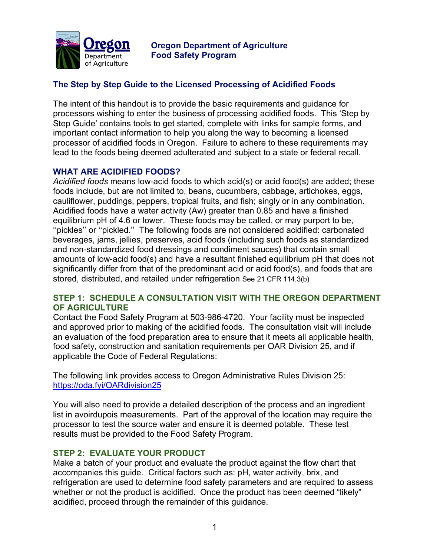

**Oregon Department of Agriculture Food Safety Program**

# **The Step by Step Guide to the Licensed Processing of Acidified Foods**

The intent of this handout is to provide the basic requirements and guidance for processors wishing to enter the business of processing acidified foods. This 'Step by Step Guide' contains tools to get started, complete with links for sample forms, and important contact information to help you along the way to becoming a licensed processor of acidified foods in Oregon. Failure to adhere to these requirements may lead to the foods being deemed adulterated and subject to a state or federal recall.

# **WHAT ARE ACIDIFIED FOODS?**

*Acidified foods* means low-acid foods to which acid(s) or acid food(s) are added; these foods include, but are not limited to, beans, cucumbers, cabbage, artichokes, eggs, cauliflower, puddings, peppers, tropical fruits, and fish; singly or in any combination. Acidified foods have a water activity (Aw) greater than 0.85 and have a finished equilibrium pH of 4.6 or lower. These foods may be called, or may purport to be, ''pickles'' or ''pickled.'' The following foods are not considered acidified: carbonated beverages, jams, jellies, preserves, acid foods (including such foods as standardized and non-standardized food dressings and condiment sauces) that contain small amounts of low-acid food(s) and have a resultant finished equilibrium pH that does not significantly differ from that of the predominant acid or acid food(s), and foods that are stored, distributed, and retailed under refrigeration See 21 CFR 114.3(b)

#### **STEP 1: SCHEDULE A CONSULTATION VISIT WITH THE OREGON DEPARTMENT OF AGRICULTURE**

Contact the Food Safety Program at 503-986-4720. Your facility must be inspected and approved prior to making of the acidified foods. The consultation visit will include an evaluation of the food preparation area to ensure that it meets all applicable health, food safety, construction and sanitation requirements per OAR Division 25, and if applicable the Code of Federal Regulations:

The following link provides access to Oregon Administrative Rules Division 25: https://oda.fyi/OARdivision25

You will also need to provide a detailed description of the process and an ingredient list in avoirdupois measurements. Part of the approval of the location may require the processor to test the source water and ensure it is deemed potable. These test results must be provided to the Food Safety Program.

#### **STEP 2: EVALUATE YOUR PRODUCT**

Make a batch of your product and evaluate the product against the flow chart that accompanies this guide. Critical factors such as: pH, water activity, brix, and refrigeration are used to determine food safety parameters and are required to assess whether or not the product is acidified. Once the product has been deemed "likely" acidified, proceed through the remainder of this guidance.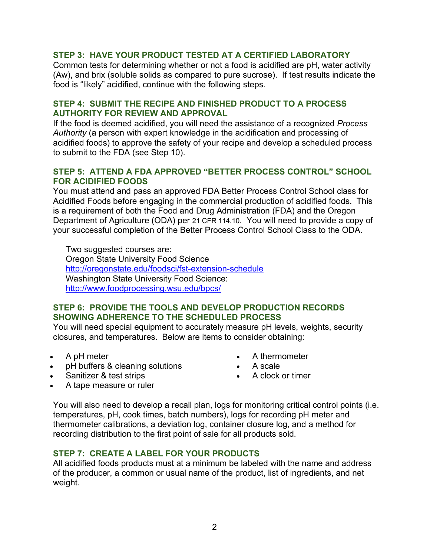# **STEP 3: HAVE YOUR PRODUCT TESTED AT A CERTIFIED LABORATORY**

Common tests for determining whether or not a food is acidified are pH, water activity (Aw), and brix (soluble solids as compared to pure sucrose). If test results indicate the food is "likely" acidified, continue with the following steps.

#### **STEP 4: SUBMIT THE RECIPE AND FINISHED PRODUCT TO A PROCESS AUTHORITY FOR REVIEW AND APPROVAL**

If the food is deemed acidified, you will need the assistance of a recognized *Process Authority* (a person with expert knowledge in the acidification and processing of acidified foods) to approve the safety of your recipe and develop a scheduled process to submit to the FDA (see Step 10).

## **STEP 5: ATTEND A FDA APPROVED "BETTER PROCESS CONTROL" SCHOOL FOR ACIDIFIED FOODS**

You must attend and pass an approved FDA Better Process Control School class for Acidified Foods before engaging in the commercial production of acidified foods. This is a requirement of both the Food and Drug Administration (FDA) and the Oregon Department of Agriculture (ODA) per 21 CFR 114.10. You will need to provide a copy of your successful completion of the Better Process Control School Class to the ODA.

Two suggested courses are: Oregon State University Food Science http://oregonstate.edu/foodsci/fst-extension-schedule Washington State University Food Science: http://www.foodprocessing.wsu.edu/bpcs/

#### **STEP 6: PROVIDE THE TOOLS AND DEVELOP PRODUCTION RECORDS SHOWING ADHERENCE TO THE SCHEDULED PROCESS**

You will need special equipment to accurately measure pH levels, weights, security closures, and temperatures. Below are items to consider obtaining:

- A pH meter
- pH buffers & cleaning solutions
- A thermometer • A scale
- 
- Sanitizer & test strips

• A clock or timer

• A tape measure or ruler

You will also need to develop a recall plan, logs for monitoring critical control points (i.e. temperatures, pH, cook times, batch numbers), logs for recording pH meter and thermometer calibrations, a deviation log, container closure log, and a method for recording distribution to the first point of sale for all products sold.

## **STEP 7: CREATE A LABEL FOR YOUR PRODUCTS**

All acidified foods products must at a minimum be labeled with the name and address of the producer, a common or usual name of the product, list of ingredients, and net weight.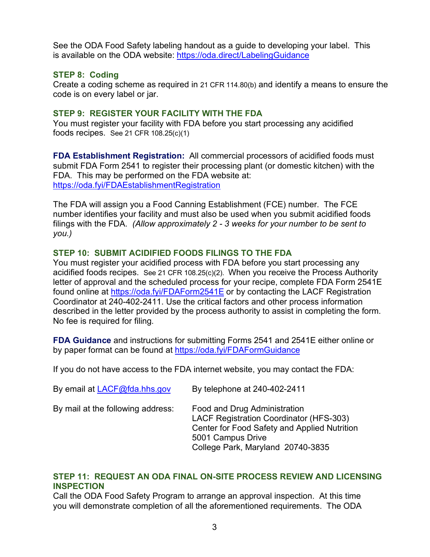See the ODA Food Safety labeling handout as a guide to developing your label. This is available on the ODA website: https://oda.direct/LabelingGuidance

## **STEP 8: Coding**

Create a coding scheme as required in 21 CFR 114.80(b) and identify a means to ensure the code is on every label or jar.

#### **STEP 9: REGISTER YOUR FACILITY WITH THE FDA**

You must register your facility with FDA before you start processing any acidified foods recipes. See 21 CFR 108.25(c)(1)

**FDA Establishment Registration:** All commercial processors of acidified foods must submit FDA Form 2541 to register their processing plant (or domestic kitchen) with the FDA. This may be performed on the FDA website at: https://oda.fyi/FDAEstablishmentRegistration

The FDA will assign you a Food Canning Establishment (FCE) number. The FCE number identifies your facility and must also be used when you submit acidified foods filings with the FDA. *(Allow approximately 2 - 3 weeks for your number to be sent to you.)*

# **STEP 10: SUBMIT ACIDIFIED FOODS FILINGS TO THE FDA**

You must register your acidified process with FDA before you start processing any acidified foods recipes. See 21 CFR 108.25(c)(2). When you receive the Process Authority letter of approval and the scheduled process for your recipe, complete FDA Form 2541E found online at https://oda.fyi/FDAForm2541E or by contacting the LACF Registration Coordinator at 240-402-2411. Use the critical factors and other process information described in the letter provided by the process authority to assist in completing the form. No fee is required for filing.

**FDA Guidance** and instructions for submitting Forms 2541 and 2541E either online or by paper format can be found at https://oda.fyi/FDAFormGuidance

If you do not have access to the FDA internet website, you may contact the FDA:

| By email at LACF@fda.hhs.gov      | By telephone at 240-402-2411                                                                                                                                                             |
|-----------------------------------|------------------------------------------------------------------------------------------------------------------------------------------------------------------------------------------|
| By mail at the following address: | Food and Drug Administration<br><b>LACF Registration Coordinator (HFS-303)</b><br>Center for Food Safety and Applied Nutrition<br>5001 Campus Drive<br>College Park, Maryland 20740-3835 |

#### **STEP 11: REQUEST AN ODA FINAL ON-SITE PROCESS REVIEW AND LICENSING INSPECTION**

Call the ODA Food Safety Program to arrange an approval inspection. At this time you will demonstrate completion of all the aforementioned requirements. The ODA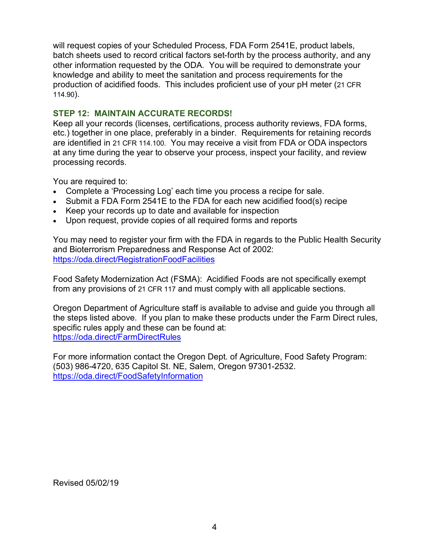will request copies of your Scheduled Process, FDA Form 2541E, product labels, batch sheets used to record critical factors set-forth by the process authority, and any other information requested by the ODA. You will be required to demonstrate your knowledge and ability to meet the sanitation and process requirements for the production of acidified foods. This includes proficient use of your pH meter (21 CFR 114.90).

# **STEP 12: MAINTAIN ACCURATE RECORDS!**

Keep all your records (licenses, certifications, process authority reviews, FDA forms, etc.) together in one place, preferably in a binder. Requirements for retaining records are identified in 21 CFR 114.100. You may receive a visit from FDA or ODA inspectors at any time during the year to observe your process, inspect your facility, and review processing records.

You are required to:

- Complete a 'Processing Log' each time you process a recipe for sale.
- Submit a FDA Form 2541E to the FDA for each new acidified food(s) recipe
- Keep your records up to date and available for inspection
- Upon request, provide copies of all required forms and reports

You may need to register your firm with the FDA in regards to the Public Health Security and Bioterrorism Preparedness and Response Act of 2002: https://oda.direct/RegistrationFoodFacilities

Food Safety Modernization Act (FSMA): Acidified Foods are not specifically exempt from any provisions of 21 CFR 117 and must comply with all applicable sections.

Oregon Department of Agriculture staff is available to advise and guide you through all the steps listed above. If you plan to make these products under the Farm Direct rules, specific rules apply and these can be found at: https://oda.direct/FarmDirectRules

For more information contact the Oregon Dept. of Agriculture, Food Safety Program: (503) 986-4720, 635 Capitol St. NE, Salem, Oregon 97301-2532. https://oda.direct/FoodSafetyInformation

Revised 05/02/19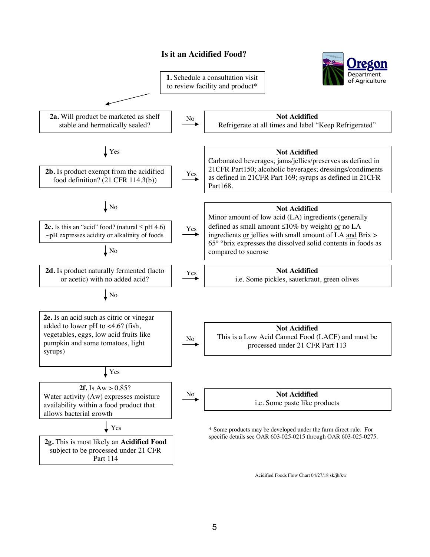#### **Is it an Acidified Food?**